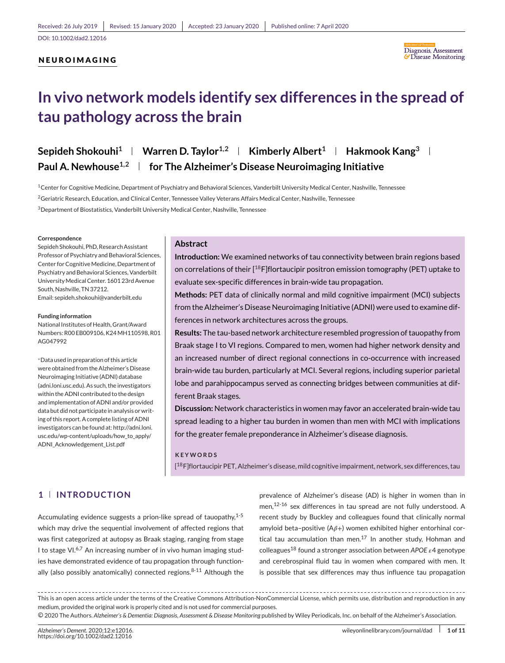# **NEUROIMAGING**



# **In vivo network models identify sex differences in the spread of tau pathology across the brain**

# **Sepideh Shokouhi<sup>1</sup> | Warren D. Taylor**<sup>1,2</sup> | Kimberly Albert<sup>1</sup> | Hakmook Kang<sup>3</sup> | **Paul A. Newhouse1,2 for The Alzheimer's Disease Neuroimaging Initiative**

1Center for Cognitive Medicine, Department of Psychiatry and Behavioral Sciences, Vanderbilt University Medical Center, Nashville, Tennessee <sup>2</sup>Geriatric Research, Education, and Clinical Center, Tennessee Valley Veterans Affairs Medical Center, Nashville, Tennessee 3Department of Biostatistics, Vanderbilt University Medical Center, Nashville, Tennessee

#### **Correspondence**

Sepideh Shokouhi, PhD, Research Assistant Professor of Psychiatry and Behavioral Sciences, Center for Cognitive Medicine, Department of Psychiatry and Behavioral Sciences, Vanderbilt University Medical Center. 1601 23rd Avenue South, Nashville, TN 37212. Email: sepideh.shokouhi@vanderbilt.edu

#### **Funding information**

National Institutes of Health, Grant/Award Numbers: R00 EB009106, K24MH110598, R01 AG047992

<sup>∗</sup>Data used in preparation of this article were obtained from the Alzheimer's Disease Neuroimaging Initiative (ADNI) database (adni.loni.usc.edu). As such, the investigators within the ADNI contributed to the design and implementation of ADNI and/or provided data but did not participate in analysis or writing of this report. A complete listing of ADNI investigators can be found at[: http://adni.loni.](http://adni.loni.usc.edu/wp-content/uploads/how_to_apply/ADNI_Acknowledgement_List.pdf) [usc.edu/wp-content/uploads/how\\_to\\_apply/](http://adni.loni.usc.edu/wp-content/uploads/how_to_apply/ADNI_Acknowledgement_List.pdf) [ADNI\\_Acknowledgement\\_List.pdf](http://adni.loni.usc.edu/wp-content/uploads/how_to_apply/ADNI_Acknowledgement_List.pdf)

# **Abstract**

**Introduction:** We examined networks of tau connectivity between brain regions based on correlations of their  $[18F]$ flortaucipir positron emission tomography (PET) uptake to evaluate sex-specific differences in brain-wide tau propagation.

**Methods:** PET data of clinically normal and mild cognitive impairment (MCI) subjects from the Alzheimer's Disease Neuroimaging Initiative (ADNI) were used to examine differences in network architectures across the groups.

**Results:** The tau-based network architecture resembled progression of tauopathy from Braak stage I to VI regions. Compared to men, women had higher network density and an increased number of direct regional connections in co-occurrence with increased brain-wide tau burden, particularly at MCI. Several regions, including superior parietal lobe and parahippocampus served as connecting bridges between communities at different Braak stages.

**Discussion:** Network characteristics in women may favor an accelerated brain-wide tau spread leading to a higher tau burden in women than men with MCI with implications for the greater female preponderance in Alzheimer's disease diagnosis.

#### **KEYWORDS**

[ 18F]flortaucipir PET, Alzheimer's disease, mild cognitive impairment, network, sex differences, tau

# **1 INTRODUCTION**

Accumulating evidence suggests a prion-like spread of tauopathy, $1-5$ which may drive the sequential involvement of affected regions that was first categorized at autopsy as Braak staging, ranging from stage I to stage VI $.6,7$  An increasing number of in vivo human imaging studies have demonstrated evidence of tau propagation through functionally (also possibly anatomically) connected regions. $8-11$  Although the

prevalence of Alzheimer's disease (AD) is higher in women than in men,<sup>12-16</sup> sex differences in tau spread are not fully understood. A recent study by Buckley and colleagues found that clinically normal amyloid beta-positive  $(A\beta+)$  women exhibited higher entorhinal cortical tau accumulation than men. $17$  In another study, Hohman and colleagues<sup>18</sup> found a stronger association between *APOE*  $\varepsilon$ 4 genotype and cerebrospinal fluid tau in women when compared with men. It is possible that sex differences may thus influence tau propagation

This is an open access article under the terms of the [Creative Commons Attribution-NonCommercial](http://creativecommons.org/licenses/by-nc/4.0/) License, which permits use, distribution and reproduction in any medium, provided the original work is properly cited and is not used for commercial purposes.

<sup>○</sup>c 2020 The Authors. *Alzheimer's & Dementia: Diagnosis, Assessment & Disease Monitoring* published by Wiley Periodicals, Inc. on behalf of the Alzheimer's Association.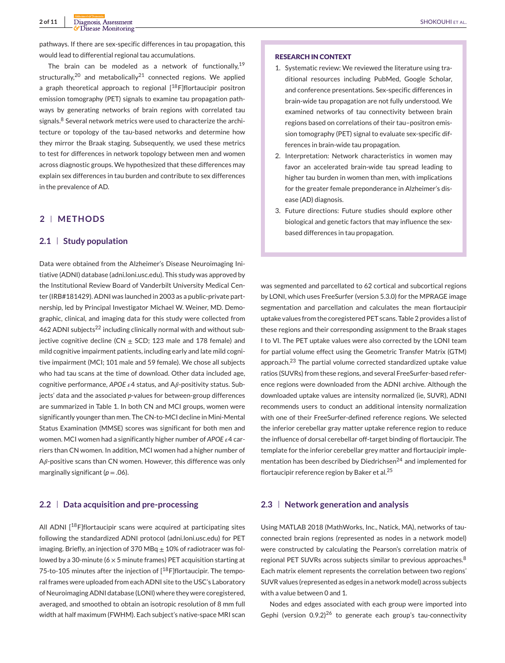pathways. If there are sex-specific differences in tau propagation, this would lead to differential regional tau accumulations.

The brain can be modeled as a network of functionally,  $19$ structurally,<sup>20</sup> and metabolically<sup>21</sup> connected regions. We applied a graph theoretical approach to regional  $[18F]$ flortaucipir positron emission tomography (PET) signals to examine tau propagation pathways by generating networks of brain regions with correlated tau signals.<sup>8</sup> Several network metrics were used to characterize the architecture or topology of the tau-based networks and determine how they mirror the Braak staging. Subsequently, we used these metrics to test for differences in network topology between men and women across diagnostic groups. We hypothesized that these differences may explain sex differences in tau burden and contribute to sex differences in the prevalence of AD.

# **2 METHODS**

# **2.1 Study population**

Data were obtained from the Alzheimer's Disease Neuroimaging Initiative (ADNI) database (adni.loni.usc.edu). This study was approved by the Institutional Review Board of Vanderbilt University Medical Center (IRB#181429). ADNI was launched in 2003 as a public-private partnership, led by Principal Investigator Michael W. Weiner, MD. Demographic, clinical, and imaging data for this study were collected from 462 ADNI subjects<sup>22</sup> including clinically normal with and without subjective cognitive decline (CN  $\pm$  SCD; 123 male and 178 female) and mild cognitive impairment patients, including early and late mild cognitive impairment (MCI; 101 male and 59 female). We chose all subjects who had tau scans at the time of download. Other data included age, cognitive performance,  $APOE \varepsilon_4$  status, and  $A\beta$ -positivity status. Subjects' data and the associated *p*-values for between-group differences are summarized in Table 1. In both CN and MCI groups, women were significantly younger than men. The CN-to-MCI decline in Mini-Mental Status Examination (MMSE) scores was significant for both men and women. MCI women had a significantly higher number of  $APOE \varepsilon 4$  carriers than CN women. In addition, MCI women had a higher number of  $A\beta$ -positive scans than CN women. However, this difference was only marginally significant ( $p = .06$ ).

# **2.2 Data acquisition and pre-processing**

All ADNI [<sup>18</sup>F]flortaucipir scans were acquired at participating sites following the standardized ADNI protocol (adni.loni.usc.edu) for PET imaging. Briefly, an injection of 370 MBq  $\pm$  10% of radiotracer was followed by a 30-minute ( $6 \times 5$  minute frames) PET acquisition starting at 75-to-105 minutes after the injection of  $[18F]$ flortaucipir. The temporal frames were uploaded from each ADNI site to the USC's Laboratory of Neuroimaging ADNI database (LONI) where they were coregistered, averaged, and smoothed to obtain an isotropic resolution of 8 mm full width at half maximum (FWHM). Each subject's native-space MRI scan

#### **RESEARCH IN CONTEXT**

- 1. Systematic review: We reviewed the literature using traditional resources including PubMed, Google Scholar, and conference presentations. Sex-specific differences in brain-wide tau propagation are not fully understood. We examined networks of tau connectivity between brain regions based on correlations of their tau–positron emission tomography (PET) signal to evaluate sex-specific differences in brain-wide tau propagation.
- 2. Interpretation: Network characteristics in women may favor an accelerated brain-wide tau spread leading to higher tau burden in women than men, with implications for the greater female preponderance in Alzheimer's disease (AD) diagnosis.
- 3. Future directions: Future studies should explore other biological and genetic factors that may influence the sexbased differences in tau propagation.

was segmented and parcellated to 62 cortical and subcortical regions by LONI, which uses FreeSurfer (version 5.3.0) for the MPRAGE image segmentation and parcellation and calculates the mean flortaucipir uptake values from the coregistered PET scans. Table 2 provides a list of these regions and their corresponding assignment to the Braak stages I to VI. The PET uptake values were also corrected by the LONI team for partial volume effect using the Geometric Transfer Matrix (GTM) approach.<sup>23</sup> The partial volume corrected standardized uptake value ratios (SUVRs) from these regions, and several FreeSurfer-based reference regions were downloaded from the ADNI archive. Although the downloaded uptake values are intensity normalized (ie, SUVR), ADNI recommends users to conduct an additional intensity normalization with one of their FreeSurfer-defined reference regions. We selected the inferior cerebellar gray matter uptake reference region to reduce the influence of dorsal cerebellar off-target binding of flortaucipir. The template for the inferior cerebellar grey matter and flortaucipir implementation has been described by Diedrichsen $^{24}$  and implemented for flortaucipir reference region by Baker et al.<sup>25</sup>

# **2.3 Network generation and analysis**

Using MATLAB 2018 (MathWorks, Inc., Natick, MA), networks of tauconnected brain regions (represented as nodes in a network model) were constructed by calculating the Pearson's correlation matrix of regional PET SUVRs across subjects similar to previous approaches.<sup>8</sup> Each matrix element represents the correlation between two regions' SUVR values (represented as edges in a network model) across subjects with a value between 0 and 1.

Nodes and edges associated with each group were imported into Gephi (version  $0.9.2$ )<sup>26</sup> to generate each group's tau-connectivity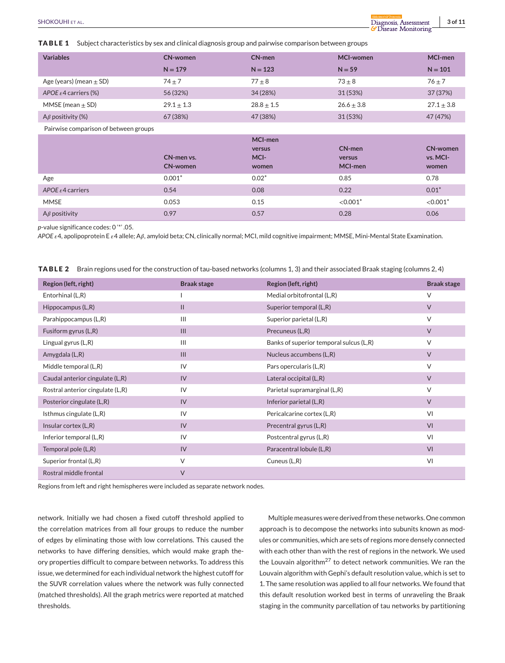**TABLE 1** Subject characteristics by sex and clinical diagnosis group and pairwise comparison between groups

| <b>Variables</b>                      | <b>CN-women</b>               | CN-men                             | <b>MCI-women</b>            | MCI-men                              |  |
|---------------------------------------|-------------------------------|------------------------------------|-----------------------------|--------------------------------------|--|
|                                       | $N = 179$                     | $N = 123$                          | $N = 59$                    | $N = 101$                            |  |
| Age (years) (mean $\pm$ SD)           | $74 + 7$                      | $77 \pm 8$                         | $73 \pm 8$                  | $76 + 7$                             |  |
| APOE $\epsilon$ 4 carriers (%)        | 56 (32%)                      | 34 (28%)                           | 31 (53%)                    | 37 (37%)                             |  |
| MMSE (mean $\pm$ SD)                  | $29.1 \pm 1.3$                | $28.8 \pm 1.5$                     | $26.6 \pm 3.8$              | $27.1 \pm 3.8$                       |  |
| A $\beta$ positivity (%)              | 67 (38%)                      | 47 (38%)                           | 31 (53%)                    | 47 (47%)                             |  |
| Pairwise comparison of between groups |                               |                                    |                             |                                      |  |
|                                       |                               |                                    |                             |                                      |  |
|                                       | CN-men vs.<br><b>CN-women</b> | MCI-men<br>versus<br>MCI-<br>women | CN-men<br>versus<br>MCI-men | <b>CN-women</b><br>vs. MCI-<br>women |  |
| Age                                   | $0.001*$                      | $0.02*$                            | 0.85                        | 0.78                                 |  |
| APOE $\epsilon$ 4 carriers            | 0.54                          | 0.08                               | 0.22                        | $0.01*$                              |  |
| <b>MMSE</b>                           | 0.053                         | 0.15                               | $< 0.001$ <sup>*</sup>      | $< 0.001*$                           |  |

*p*-value significance codes: 0 '\*' .05.

APOE ε4, apolipoprotein E ε4 allele; Aβ, amyloid beta; CN, clinically normal; MCI, mild cognitive impairment; MMSE, Mini-Mental State Examination.

**TABLE 2** Brain regions used for the construction of tau-based networks (columns 1, 3) and their associated Braak staging (columns 2, 4)

| Region (left, right)             | <b>Braak stage</b> | Region (left, right)                    | <b>Braak stage</b> |
|----------------------------------|--------------------|-----------------------------------------|--------------------|
| Entorhinal (L,R)                 |                    | Medial orbitofrontal (L,R)              | $\vee$             |
| Hippocampus (L,R)                | $\mathbf{H}$       | Superior temporal (L,R)                 | $\vee$             |
| Parahippocampus (L,R)            | $\mathbf{III}$     | Superior parietal (L,R)                 | $\vee$             |
| Fusiform gyrus (L,R)             | III                | Precuneus (L,R)                         | $\vee$             |
| Lingual gyrus (L,R)              | $\mathbf{III}$     | Banks of superior temporal sulcus (L,R) | $\vee$             |
| Amygdala (L,R)                   | III                | Nucleus accumbens (L,R)                 | $\vee$             |
| Middle temporal (L,R)            | IV                 | Pars opercularis (L,R)                  | $\vee$             |
| Caudal anterior cingulate (L,R)  | IV                 | Lateral occipital (L,R)                 | $\vee$             |
| Rostral anterior cingulate (L,R) | IV                 | Parietal supramarginal (L,R)            | $\vee$             |
| Posterior cingulate (L,R)        | IV                 | Inferior parietal (L,R)                 | $\vee$             |
| Isthmus cingulate (L,R)          | IV                 | Pericalcarine cortex (L,R)              | VI                 |
| Insular cortex (L,R)             | IV                 | Precentral gyrus (L,R)                  | VI                 |
| Inferior temporal (L,R)          | IV                 | Postcentral gyrus (L,R)                 | VI                 |
| Temporal pole (L,R)              | IV                 | Paracentral lobule (L,R)                | VI                 |
| Superior frontal (L,R)           | V                  | Cuneus (L,R)                            | VI                 |
| Rostral middle frontal           | V                  |                                         |                    |

Regions from left and right hemispheres were included as separate network nodes.

network. Initially we had chosen a fixed cutoff threshold applied to the correlation matrices from all four groups to reduce the number of edges by eliminating those with low correlations. This caused the networks to have differing densities, which would make graph theory properties difficult to compare between networks. To address this issue, we determined for each individual network the highest cutoff for the SUVR correlation values where the network was fully connected (matched thresholds). All the graph metrics were reported at matched thresholds.

Multiple measures were derived from these networks. One common approach is to decompose the networks into subunits known as modules or communities, which are sets of regions more densely connected with each other than with the rest of regions in the network. We used the Louvain algorithm<sup>27</sup> to detect network communities. We ran the Louvain algorithm with Gephi's default resolution value, which is set to 1. The same resolution was applied to all four networks. We found that this default resolution worked best in terms of unraveling the Braak staging in the community parcellation of tau networks by partitioning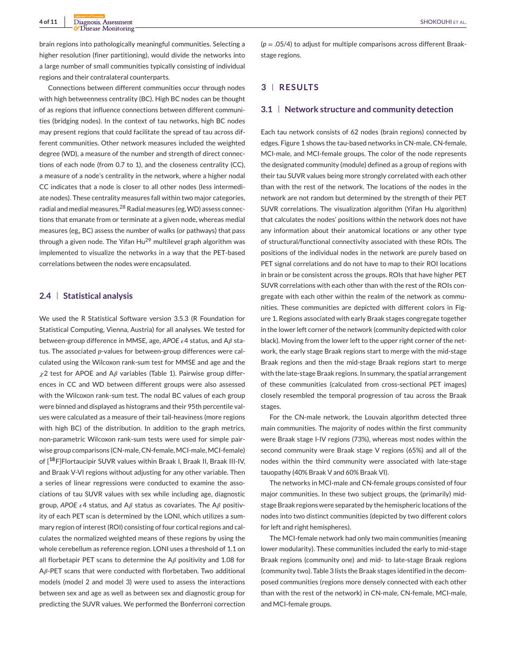brain regions into pathologically meaningful communities. Selecting a higher resolution (finer partitioning), would divide the networks into a large number of small communities typically consisting of individual regions and their contralateral counterparts.

Connections between different communities occur through nodes with high betweenness centrality (BC). High BC nodes can be thought of as regions that influence connections between different communities (bridging nodes). In the context of tau networks, high BC nodes may present regions that could facilitate the spread of tau across different communities. Other network measures included the weighted degree (WD), a measure of the number and strength of direct connections of each node (from 0.7 to 1), and the closeness centrality (CC), a measure of a node's centrality in the network, where a higher nodal CC indicates that a node is closer to all other nodes (less intermediate nodes). These centrality measures fall within two major categories, radial and medial measures.<sup>28</sup> Radial measures (eg,WD) assess connections that emanate from or terminate at a given node, whereas medial measures (eg,, BC) assess the number of walks (or pathways) that pass through a given node. The Yifan Hu<sup>29</sup> multilevel graph algorithm was implemented to visualize the networks in a way that the PET-based correlations between the nodes were encapsulated.

# **2.4 Statistical analysis**

We used the R Statistical Software version 3.5.3 (R Foundation for Statistical Computing, Vienna, Austria) for all analyses. We tested for between-group difference in MMSE, age, APOE  $\varepsilon$ 4 status, and A $\beta$  status. The associated *p*-values for between-group differences were calculated using the Wilcoxon rank-sum test for MMSE and age and the  $\chi$ 2 test for APOE and A $\beta$  variables (Table 1). Pairwise group differences in CC and WD between different groups were also assessed with the Wilcoxon rank-sum test. The nodal BC values of each group were binned and displayed as histograms and their 95th percentile values were calculated as a measure of their tail-heaviness (more regions with high BC) of the distribution. In addition to the graph metrics, non-parametric Wilcoxon rank-sum tests were used for simple pairwise group comparisons (CN-male, CN-female, MCI-male, MCI-female) of [**18**F]Flortaucipir SUVR values within Braak I, Braak II, Braak III-IV, and Braak V-VI regions without adjusting for any other variable. Then a series of linear regressions were conducted to examine the associations of tau SUVR values with sex while including age, diagnostic group, APOE  $\epsilon$ 4 status, and A $\beta$  status as covariates. The A $\beta$  positivity of each PET scan is determined by the LONI, which utilizes a summary region of interest (ROI) consisting of four cortical regions and calculates the normalized weighted means of these regions by using the whole cerebellum as reference region. LONI uses a threshold of 1.1 on all florbetapir PET scans to determine the  $A\beta$  positivity and 1.08 for  $A\beta$ -PET scans that were conducted with florbetaben. Two additional models (model 2 and model 3) were used to assess the interactions between sex and age as well as between sex and diagnostic group for predicting the SUVR values. We performed the Bonferroni correction

(*p* = .05/4) to adjust for multiple comparisons across different Braakstage regions.

# **3 RESULTS**

#### **3.1 Network structure and community detection**

Each tau network consists of 62 nodes (brain regions) connected by edges. Figure 1 shows the tau-based networks in CN-male, CN-female, MCI-male, and MCI-female groups. The color of the node represents the designated community (module) defined as a group of regions with their tau SUVR values being more strongly correlated with each other than with the rest of the network. The locations of the nodes in the network are not random but determined by the strength of their PET SUVR correlations. The visualization algorithm (Yifan Hu algorithm) that calculates the nodes' positions within the network does not have any information about their anatomical locations or any other type of structural/functional connectivity associated with these ROIs. The positions of the individual nodes in the network are purely based on PET signal correlations and do not have to map to their ROI locations in brain or be consistent across the groups. ROIs that have higher PET SUVR correlations with each other than with the rest of the ROIs congregate with each other within the realm of the network as communities. These communities are depicted with different colors in Figure 1. Regions associated with early Braak stages congregate together in the lower left corner of the network (community depicted with color black). Moving from the lower left to the upper right corner of the network, the early stage Braak regions start to merge with the mid-stage Braak regions and then the mid-stage Braak regions start to merge with the late-stage Braak regions. In summary, the spatial arrangement of these communities (calculated from cross-sectional PET images) closely resembled the temporal progression of tau across the Braak stages.

For the CN-male network, the Louvain algorithm detected three main communities. The majority of nodes within the first community were Braak stage I-IV regions (73%), whereas most nodes within the second community were Braak stage V regions (65%) and all of the nodes within the third community were associated with late-stage tauopathy (40% Braak V and 60% Braak VI).

The networks in MCI-male and CN-female groups consisted of four major communities. In these two subject groups, the (primarily) midstage Braak regions were separated by the hemispheric locations of the nodes into two distinct communities (depicted by two different colors for left and right hemispheres).

The MCI-female network had only two main communities (meaning lower modularity). These communities included the early to mid-stage Braak regions (community one) and mid- to late-stage Braak regions (community two). Table 3 lists the Braak stages identified in the decomposed communities (regions more densely connected with each other than with the rest of the network) in CN-male, CN-female, MCI-male, and MCI-female groups.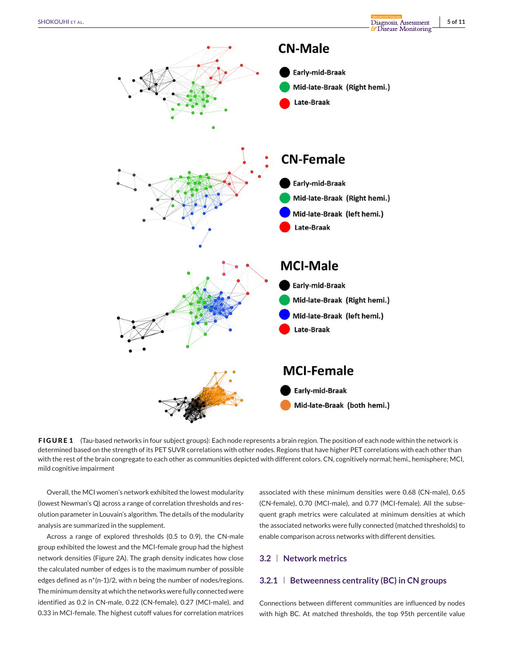

**FIGURE 1** (Tau-based networks in four subject groups): Each node represents a brain region. The position of each node within the network is determined based on the strength of its PET SUVR correlations with other nodes. Regions that have higher PET correlations with each other than with the rest of the brain congregate to each other as communities depicted with different colors. CN, cognitively normal; hemi., hemisphere; MCI, mild cognitive impairment

Overall, the MCI women's network exhibited the lowest modularity (lowest Newman's Q) across a range of correlation thresholds and resolution parameter in Louvain's algorithm. The details of the modularity analysis are summarized in the supplement.

Across a range of explored thresholds (0.5 to 0.9), the CN-male group exhibited the lowest and the MCI-female group had the highest network densities (Figure 2A). The graph density indicates how close the calculated number of edges is to the maximum number of possible edges defined as n\*(n-1)/2, with n being the number of nodes/regions. The minimum density at which the networks were fully connected were identified as 0.2 in CN-male, 0.22 (CN-female), 0.27 (MCI-male), and 0.33 in MCI-female. The highest cutoff values for correlation matrices

associated with these minimum densities were 0.68 (CN-male), 0.65 (CN-female), 0.70 (MCI-male), and 0.77 (MCI-female). All the subsequent graph metrics were calculated at minimum densities at which the associated networks were fully connected (matched thresholds) to enable comparison across networks with different densities.

## **3.2 Network metrics**

# **3.2.1 Betweenness centrality (BC) in CN groups**

Connections between different communities are influenced by nodes with high BC. At matched thresholds, the top 95th percentile value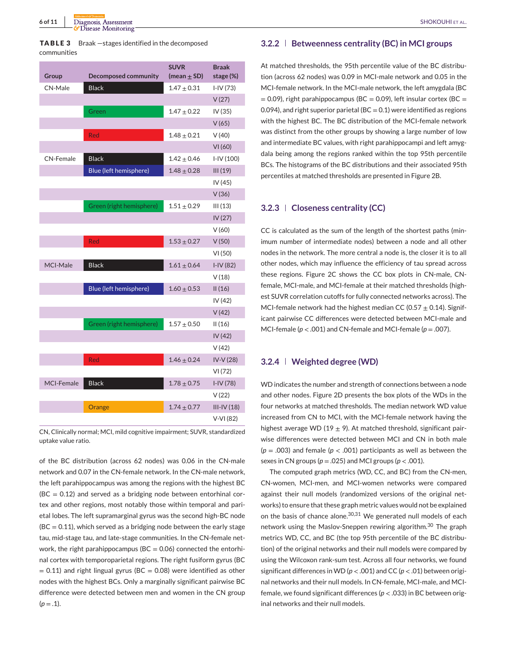|             | <b>TABLE 3</b> Braak – stages identified in the decomposed |
|-------------|------------------------------------------------------------|
| communities |                                                            |

| Group             | <b>Decomposed community</b> | <b>SUVR</b><br>(mean $\pm$ SD) | <b>Braak</b><br>stage (%) |
|-------------------|-----------------------------|--------------------------------|---------------------------|
| CN-Male           | <b>Black</b>                | $1.47 \pm 0.31$                | $I-IV(73)$                |
|                   |                             |                                | V(27)                     |
|                   | Green                       | $1.47 \pm 0.22$                | IV (35)                   |
|                   |                             |                                | V(65)                     |
|                   | Red                         | $1.48 \pm 0.21$                | V(40)                     |
|                   |                             |                                | VI(60)                    |
| <b>CN-Female</b>  | <b>Black</b>                | $1.42 \pm 0.46$                | $I-IV(100)$               |
|                   | Blue (left hemisphere)      | $1.48 \pm 0.28$                | III(19)                   |
|                   |                             |                                | IV (45)                   |
|                   |                             |                                | V(36)                     |
|                   | Green (right hemisphere)    | $1.51 \pm 0.29$                | III(13)                   |
|                   |                             |                                | IV (27)                   |
|                   |                             |                                | V(60)                     |
|                   | Red                         | $1.53 \pm 0.27$                | V(50)                     |
|                   |                             |                                | VI(50)                    |
| MCI-Male          | <b>Black</b>                | $1.61 \pm 0.64$                | $I-IV(82)$                |
|                   |                             |                                | V(18)                     |
|                   | Blue (left hemisphere)      | $1.60 \pm 0.53$                | II(16)                    |
|                   |                             |                                | IV (42)                   |
|                   |                             |                                | V(42)                     |
|                   | Green (right hemisphere)    | $1.57 \pm 0.50$                | II(16)                    |
|                   |                             |                                | IV (42)                   |
|                   |                             |                                | V (42)                    |
|                   | Red                         | $1.46 \pm 0.24$                | IV-V (28)                 |
|                   |                             |                                | VI(72)                    |
| <b>MCI-Female</b> | <b>Black</b>                | $1.78 \pm 0.75$                | $I-IV(78)$                |
|                   |                             |                                | V(22)                     |
|                   | Orange                      | $1.74 \pm 0.77$                | $III-IV(18)$              |
|                   |                             |                                | $V-VI(82)$                |

CN, Clinically normal; MCI, mild cognitive impairment; SUVR, standardized uptake value ratio.

of the BC distribution (across 62 nodes) was 0.06 in the CN-male network and 0.07 in the CN-female network. In the CN-male network, the left parahippocampus was among the regions with the highest BC  $(BC = 0.12)$  and served as a bridging node between entorhinal cortex and other regions, most notably those within temporal and parietal lobes. The left supramarginal gyrus was the second high-BC node  $(BC = 0.11)$ , which served as a bridging node between the early stage tau, mid-stage tau, and late-stage communities. In the CN-female network, the right parahippocampus ( $BC = 0.06$ ) connected the entorhinal cortex with temporoparietal regions. The right fusiform gyrus (BC  $= 0.11$ ) and right lingual gyrus (BC  $= 0.08$ ) were identified as other nodes with the highest BCs. Only a marginally significant pairwise BC difference were detected between men and women in the CN group  $(p=.1)$ .

# **3.2.2 Betweenness centrality (BC) in MCI groups**

At matched thresholds, the 95th percentile value of the BC distribution (across 62 nodes) was 0.09 in MCI-male network and 0.05 in the MCI-female network. In the MCI-male network, the left amygdala (BC  $= 0.09$ ), right parahippocampus (BC = 0.09), left insular cortex (BC = 0.094), and right superior parietal ( $BC = 0.1$ ) were identified as regions with the highest BC. The BC distribution of the MCI-female network was distinct from the other groups by showing a large number of low and intermediate BC values, with right parahippocampi and left amygdala being among the regions ranked within the top 95th percentile BCs. The histograms of the BC distributions and their associated 95th percentiles at matched thresholds are presented in Figure 2B.

# **3.2.3 Closeness centrality (CC)**

CC is calculated as the sum of the length of the shortest paths (minimum number of intermediate nodes) between a node and all other nodes in the network. The more central a node is, the closer it is to all other nodes, which may influence the efficiency of tau spread across these regions. Figure 2C shows the CC box plots in CN-male, CNfemale, MCI-male, and MCI-female at their matched thresholds (highest SUVR correlation cutoffs for fully connected networks across). The MCI-female network had the highest median CC (0.57  $\pm$  0.14). Significant pairwise CC differences were detected between MCI-male and MCI-female ( $p < .001$ ) and CN-female and MCI-female ( $p = .007$ ).

# **3.2.4 Weighted degree (WD)**

WD indicates the number and strength of connections between a node and other nodes. Figure 2D presents the box plots of the WDs in the four networks at matched thresholds. The median network WD value increased from CN to MCI, with the MCI-female network having the highest average WD (19  $\pm$  9). At matched threshold, significant pairwise differences were detected between MCI and CN in both male  $(p = .003)$  and female  $(p < .001)$  participants as well as between the sexes in CN groups ( $p = .025$ ) and MCI groups ( $p < .001$ ).

The computed graph metrics (WD, CC, and BC) from the CN-men, CN-women, MCI-men, and MCI-women networks were compared against their null models (randomized versions of the original networks) to ensure that these graph metric values would not be explained on the basis of chance alone.<sup>30,31</sup> We generated null models of each network using the Maslov-Sneppen rewiring algorithm.<sup>30</sup> The graph metrics WD, CC, and BC (the top 95th percentile of the BC distribution) of the original networks and their null models were compared by using the Wilcoxon rank-sum test. Across all four networks, we found significant differences in WD (*p* < .001) and CC (*p* < .01) between original networks and their null models. In CN-female, MCI-male, and MCIfemale, we found significant differences (*p* < .033) in BC between original networks and their null models.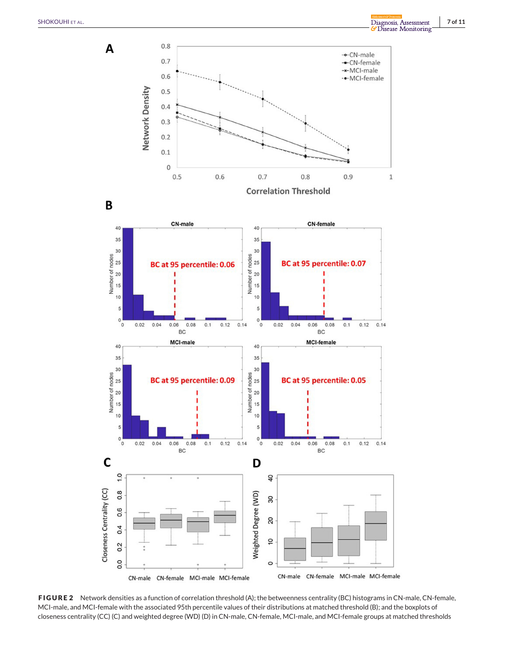

**FIGURE 2** Network densities as a function of correlation threshold (A); the betweenness centrality (BC) histograms in CN-male, CN-female, MCI-male, and MCI-female with the associated 95th percentile values of their distributions at matched threshold (B); and the boxplots of closeness centrality (CC) (C) and weighted degree (WD) (D) in CN-male, CN-female, MCI-male, and MCI-female groups at matched thresholds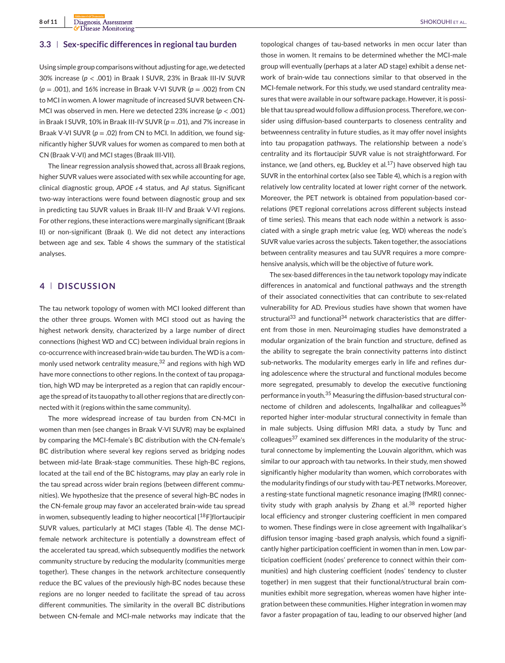# **3.3 Sex-specific differences in regional tau burden**

Using simple group comparisons without adjusting for age, we detected 30% increase (*p* < .001) in Braak I SUVR, 23% in Braak III-IV SUVR (*p* = .001), and 16% increase in Braak V-VI SUVR (*p* = .002) from CN to MCI in women. A lower magnitude of increased SUVR between CN-MCI was observed in men. Here we detected 23% increase (*p* < .001) in Braak I SUVR, 10% in Braak III-IV SUVR (*p* = .01), and 7% increase in Braak V-VI SUVR (*p* = .02) from CN to MCI. In addition, we found significantly higher SUVR values for women as compared to men both at CN (Braak V-VI) and MCI stages (Braak III-VII).

The linear regression analysis showed that, across all Braak regions, higher SUVR values were associated with sex while accounting for age, clinical diagnostic group, APOE  $\varepsilon$ 4 status, and A $\beta$  status. Significant two-way interactions were found between diagnostic group and sex in predicting tau SUVR values in Braak III-IV and Braak V-VI regions. For other regions, these interactions were marginally significant (Braak II) or non-significant (Braak I). We did not detect any interactions between age and sex. Table 4 shows the summary of the statistical analyses.

# **4 DISCUSSION**

The tau network topology of women with MCI looked different than the other three groups. Women with MCI stood out as having the highest network density, characterized by a large number of direct connections (highest WD and CC) between individual brain regions in co-occurrence with increased brain-wide tau burden. TheWD is a commonly used network centrality measure,<sup>32</sup> and regions with high WD have more connections to other regions. In the context of tau propagation, high WD may be interpreted as a region that can rapidly encourage the spread of its tauopathy to all other regions that are directly connected with it (regions within the same community).

The more widespread increase of tau burden from CN-MCI in women than men (see changes in Braak V-VI SUVR) may be explained by comparing the MCI-female's BC distribution with the CN-female's BC distribution where several key regions served as bridging nodes between mid-late Braak-stage communities. These high-BC regions, located at the tail end of the BC histograms, may play an early role in the tau spread across wider brain regions (between different communities). We hypothesize that the presence of several high-BC nodes in the CN-female group may favor an accelerated brain-wide tau spread in women, subsequently leading to higher neocortical  $[18F]$ flortaucipir SUVR values, particularly at MCI stages (Table 4). The dense MCIfemale network architecture is potentially a downstream effect of the accelerated tau spread, which subsequently modifies the network community structure by reducing the modularity (communities merge together). These changes in the network architecture consequently reduce the BC values of the previously high-BC nodes because these regions are no longer needed to facilitate the spread of tau across different communities. The similarity in the overall BC distributions between CN-female and MCI-male networks may indicate that the

topological changes of tau-based networks in men occur later than those in women. It remains to be determined whether the MCI-male group will eventually (perhaps at a later AD stage) exhibit a dense network of brain-wide tau connections similar to that observed in the MCI-female network. For this study, we used standard centrality measures that were available in our software package. However, it is possible that tau spread would follow a diffusion process. Therefore, we consider using diffusion-based counterparts to closeness centrality and betweenness centrality in future studies, as it may offer novel insights into tau propagation pathways. The relationship between a node's centrality and its flortaucipir SUVR value is not straightforward. For instance, we (and others, eg, Buckley et al. $^{17}$ ) have observed high tau SUVR in the entorhinal cortex (also see Table 4), which is a region with relatively low centrality located at lower right corner of the network. Moreover, the PET network is obtained from population-based correlations (PET regional correlations across different subjects instead of time series). This means that each node within a network is associated with a single graph metric value (eg, WD) whereas the node's SUVR value varies across the subjects. Taken together, the associations between centrality measures and tau SUVR requires a more comprehensive analysis, which will be the objective of future work.

The sex-based differences in the tau network topology may indicate differences in anatomical and functional pathways and the strength of their associated connectivities that can contribute to sex-related vulnerability for AD. Previous studies have shown that women have structural $^{33}$  and functional $^{34}$  network characteristics that are different from those in men. Neuroimaging studies have demonstrated a modular organization of the brain function and structure, defined as the ability to segregate the brain connectivity patterns into distinct sub-networks. The modularity emerges early in life and refines during adolescence where the structural and functional modules become more segregated, presumably to develop the executive functioning performance in youth.<sup>35</sup> Measuring the diffusion-based structural connectome of children and adolescents, Ingalhalikar and colleagues<sup>36</sup> reported higher inter-modular structural connectivity in female than in male subjects. Using diffusion MRI data, a study by Tunc and colleagues<sup>37</sup> examined sex differences in the modularity of the structural connectome by implementing the Louvain algorithm, which was similar to our approach with tau networks. In their study, men showed significantly higher modularity than women, which corroborates with the modularity findings of our study with tau-PET networks. Moreover, a resting-state functional magnetic resonance imaging (fMRI) connectivity study with graph analysis by Zhang et al.<sup>38</sup> reported higher local efficiency and stronger clustering coefficient in men compared to women. These findings were in close agreement with Ingalhalikar's diffusion tensor imaging -based graph analysis, which found a significantly higher participation coefficient in women than in men. Low participation coefficient (nodes' preference to connect within their communities) and high clustering coefficient (nodes' tendency to cluster together) in men suggest that their functional/structural brain communities exhibit more segregation, whereas women have higher integration between these communities. Higher integration in women may favor a faster propagation of tau, leading to our observed higher (and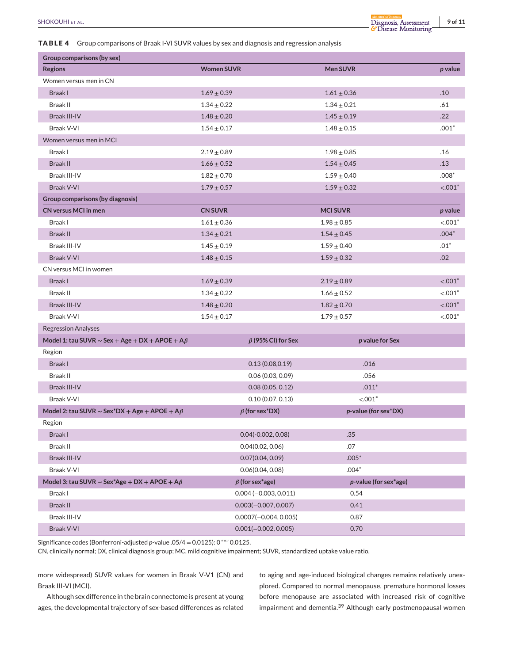# **TABLE 4** Group comparisons of Braak I-VI SUVR values by sex and diagnosis and regression

|                |                                                                                                        |                   |                 | <i><b>G</b></i> Disease Monitoring |  |  |
|----------------|--------------------------------------------------------------------------------------------------------|-------------------|-----------------|------------------------------------|--|--|
|                | <b>ABLE 4</b> Group comparisons of Braak I-VI SUVR values by sex and diagnosis and regression analysis |                   |                 |                                    |  |  |
|                | Group comparisons (by sex)                                                                             |                   |                 |                                    |  |  |
| <b>Regions</b> |                                                                                                        | <b>Women SUVR</b> | <b>Men SUVR</b> | p value                            |  |  |
|                | Women versus men in CN                                                                                 |                   |                 |                                    |  |  |
| Braak I        |                                                                                                        | $1.69 + 0.39$     | $1.61 + 0.36$   | .10                                |  |  |
| Braak II       |                                                                                                        | $1.34 + 0.22$     | $1.34 + 0.21$   | .61                                |  |  |
|                |                                                                                                        |                   |                 |                                    |  |  |

| Braak I                                                    | $1.69 \pm 0.39$ |                          |  | $1.61 \pm 0.36$       | .10         |
|------------------------------------------------------------|-----------------|--------------------------|--|-----------------------|-------------|
| <b>Braak II</b>                                            | $1.34 \pm 0.22$ |                          |  | $1.34 \pm 0.21$       | .61         |
| <b>Braak III-IV</b>                                        | $1.48 \pm 0.20$ |                          |  | $1.45 \pm 0.19$       | .22         |
| Braak V-VI                                                 | $1.54 \pm 0.17$ |                          |  | $1.48 \pm 0.15$       | $.001*$     |
| Women versus men in MCI                                    |                 |                          |  |                       |             |
| Braak I                                                    | $2.19 \pm 0.89$ |                          |  | $1.98 \pm 0.85$       | .16         |
| <b>Braak II</b>                                            | $1.66\pm0.52$   |                          |  | $1.54 \pm 0.45$       | .13         |
| Braak III-IV                                               | $1.82\pm0.70$   |                          |  | $1.59 \pm 0.40$       | $.008*$     |
| <b>Braak V-VI</b>                                          | $1.79 \pm 0.57$ |                          |  | $1.59 \pm 0.32$       | $< .001*$   |
| Group comparisons (by diagnosis)                           |                 |                          |  |                       |             |
| <b>CN versus MCI in men</b>                                | <b>CN SUVR</b>  |                          |  | <b>MCISUVR</b>        | p value     |
| Braak I                                                    | $1.61 \pm 0.36$ |                          |  | $1.98\pm0.85$         | $< 0.001$ * |
| <b>Braak II</b>                                            | $1.34 \pm 0.21$ |                          |  | $1.54 \pm 0.45$       | $.004*$     |
| Braak III-IV                                               | $1.45 \pm 0.19$ |                          |  | $1.59 \pm 0.40$       | $.01*$      |
| <b>Braak V-VI</b>                                          | $1.48 \pm 0.15$ |                          |  | $1.59 \pm 0.32$       | .02         |
| CN versus MCI in women                                     |                 |                          |  |                       |             |
| Braak I                                                    | $1.69 \pm 0.39$ |                          |  | $2.19 \pm 0.89$       | $< .001*$   |
| <b>Braak II</b>                                            | $1.34 \pm 0.22$ |                          |  | $1.66 \pm 0.52$       | $< .001*$   |
| Braak III-IV                                               | $1.48\pm0.20$   |                          |  | $1.82 \pm 0.70$       | $< .001*$   |
| Braak V-VI                                                 | $1.54 \pm 0.17$ |                          |  | $1.79 \pm 0.57$       | $< .001*$   |
| <b>Regression Analyses</b>                                 |                 |                          |  |                       |             |
| Model 1: tau SUVR $\sim$ Sex + Age + DX + APOE + A $\beta$ |                 | $\beta$ (95% CI) for Sex |  | p value for Sex       |             |
| Region                                                     |                 |                          |  |                       |             |
| Braak I                                                    |                 | 0.13(0.08, 0.19)         |  | .016                  |             |
| Braak II                                                   |                 | 0.06(0.03, 0.09)         |  | .056                  |             |
| Braak III-IV                                               |                 | 0.08(0.05, 0.12)         |  | $.011*$               |             |
| Braak V-VI                                                 |                 | 0.10(0.07, 0.13)         |  | $< .001*$             |             |
| Model 2: tau SUVR $\sim$ Sex*DX + Age + APOE + A $\beta$   |                 | $\beta$ (for sex*DX)     |  | p-value (for sex*DX)  |             |
| Region                                                     |                 |                          |  |                       |             |
| Braak I                                                    |                 | $0.04(-0.002, 0.08)$     |  | .35                   |             |
| Braak II                                                   |                 | 0.04(0.02, 0.06)         |  | .07                   |             |
| Braak III-IV                                               |                 | 0.07(0.04, 0.09)         |  | $.005*$               |             |
| Braak V-VI                                                 |                 | 0.06(0.04, 0.08)         |  | .004°                 |             |
| Model 3: tau SUVR ~ Sex*Age + DX + APOE + A $\beta$        |                 | $\beta$ (for sex*age)    |  | p-value (for sex*age) |             |
| Braak I                                                    |                 | $0.004 (-0.003, 0.011)$  |  | 0.54                  |             |
| <b>Braak II</b>                                            |                 | $0.003(-0.007, 0.007)$   |  | 0.41                  |             |
| Braak III-IV                                               |                 | $0.0007(-0.004, 0.005)$  |  | 0.87                  |             |
| Braak V-VI                                                 |                 | $0.001(-0.002, 0.005)$   |  | 0.70                  |             |

Significance codes (Bonferroni-adjusted *p*-value .05/4 = 0.0125): 0 "\*" 0.0125.

CN, clinically normal; DX, clinical diagnosis group; MC, mild cognitive impairment; SUVR, standardized uptake value ratio.

more widespread) SUVR values for women in Braak V-V1 (CN) and Braak III-VI (MCI).

Although sex difference in the brain connectome is present at young ages, the developmental trajectory of sex-based differences as related to aging and age-induced biological changes remains relatively unexplored. Compared to normal menopause, premature hormonal losses before menopause are associated with increased risk of cognitive impairment and dementia.<sup>39</sup> Although early postmenopausal women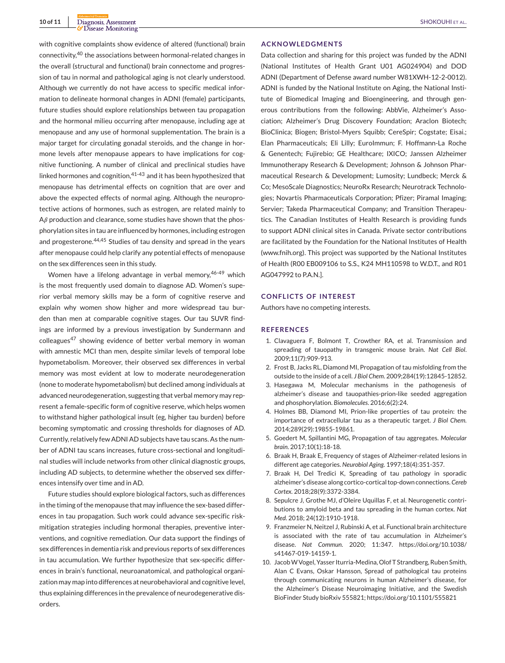with cognitive complaints show evidence of altered (functional) brain connectivity,<sup>40</sup> the associations between hormonal-related changes in the overall (structural and functional) brain connectome and progression of tau in normal and pathological aging is not clearly understood. Although we currently do not have access to specific medical information to delineate hormonal changes in ADNI (female) participants, future studies should explore relationships between tau propagation and the hormonal milieu occurring after menopause, including age at menopause and any use of hormonal supplementation. The brain is a major target for circulating gonadal steroids, and the change in hormone levels after menopause appears to have implications for cognitive functioning. A number of clinical and preclinical studies have linked hormones and cognition, $41-43$  and it has been hypothesized that menopause has detrimental effects on cognition that are over and above the expected effects of normal aging. Although the neuroprotective actions of hormones, such as estrogen, are related mainly to  $A\beta$  production and clearance, some studies have shown that the phosphorylation sites in tau are influenced by hormones, including estrogen and progesterone.<sup>44,45</sup> Studies of tau density and spread in the years after menopause could help clarify any potential effects of menopause on the sex differences seen in this study.

Women have a lifelong advantage in verbal memory, 46-49 which is the most frequently used domain to diagnose AD. Women's superior verbal memory skills may be a form of cognitive reserve and explain why women show higher and more widespread tau burden than men at comparable cognitive stages. Our tau SUVR findings are informed by a previous investigation by Sundermann and colleagues<sup>47</sup> showing evidence of better verbal memory in woman with amnestic MCI than men, despite similar levels of temporal lobe hypometabolism. Moreover, their observed sex differences in verbal memory was most evident at low to moderate neurodegeneration (none to moderate hypometabolism) but declined among individuals at advanced neurodegeneration, suggesting that verbal memory may represent a female-specific form of cognitive reserve, which helps women to withstand higher pathological insult (eg, higher tau burden) before becoming symptomatic and crossing thresholds for diagnoses of AD. Currently, relatively few ADNI AD subjects have tau scans. As the number of ADNI tau scans increases, future cross-sectional and longitudinal studies will include networks from other clinical diagnostic groups, including AD subjects, to determine whether the observed sex differences intensify over time and in AD.

Future studies should explore biological factors, such as differences in the timing of the menopause that may influence the sex-based differences in tau propagation. Such work could advance sex-specific riskmitigation strategies including hormonal therapies, preventive interventions, and cognitive remediation. Our data support the findings of sex differences in dementia risk and previous reports of sex differences in tau accumulation. We further hypothesize that sex-specific differences in brain's functional, neuroanatomical, and pathological organization may map into differences at neurobehavioral and cognitive level, thus explaining differences in the prevalence of neurodegenerative disorders.

#### **ACKNOWLEDGMENTS**

Data collection and sharing for this project was funded by the ADNI (National Institutes of Health Grant U01 AG024904) and DOD ADNI (Department of Defense award number W81XWH-12-2-0012). ADNI is funded by the National Institute on Aging, the National Institute of Biomedical Imaging and Bioengineering, and through generous contributions from the following: AbbVie, Alzheimer's Association; Alzheimer's Drug Discovery Foundation; Araclon Biotech; BioClinica; Biogen; Bristol-Myers Squibb; CereSpir; Cogstate; Eisai.; Elan Pharmaceuticals; Eli Lilly; EuroImmun; F. Hoffmann-La Roche & Genentech; Fujirebio; GE Healthcare; IXICO; Janssen Alzheimer Immunotherapy Research & Development; Johnson & Johnson Pharmaceutical Research & Development; Lumosity; Lundbeck; Merck & Co; MesoScale Diagnostics; NeuroRx Research; Neurotrack Technologies; Novartis Pharmaceuticals Corporation; Pfizer; Piramal Imaging; Servier; Takeda Pharmaceutical Company; and Transition Therapeutics. The Canadian Institutes of Health Research is providing funds to support ADNI clinical sites in Canada. Private sector contributions are facilitated by the Foundation for the National Institutes of Health [\(www.fnih.org\)](http://www.fnih.org). This project was supported by the National Institutes of Health (R00 EB009106 to S.S., K24 MH110598 to W.D.T., and R01 AG047992 to P.A.N.].

## **CONFLICTS OF INTEREST**

Authors have no competing interests.

#### **REFERENCES**

- 1. Clavaguera F, Bolmont T, Crowther RA, et al. Transmission and spreading of tauopathy in transgenic mouse brain. *Nat Cell Biol*. 2009;11(7):909-913.
- 2. Frost B, Jacks RL, Diamond MI, Propagation of tau misfolding from the outside to the inside of a cell. *J Biol Chem*. 2009;284(19):12845-12852.
- 3. Hasegawa M, Molecular mechanisms in the pathogenesis of alzheimer's disease and tauopathies-prion-like seeded aggregation and phosphorylation. *Biomolecules*. 2016;6(2):24.
- 4. Holmes BB, Diamond MI, Prion-like properties of tau protein: the importance of extracellular tau as a therapeutic target. *J Biol Chem*. 2014;289(29):19855-19861.
- 5. Goedert M, Spillantini MG, Propagation of tau aggregates. *Molecular brain*. 2017;10(1):18-18.
- 6. Braak H, Braak E, Frequency of stages of Alzheimer-related lesions in different age categories. *Neurobiol Aging*. 1997;18(4):351-357.
- 7. Braak H, Del Tredici K, Spreading of tau pathology in sporadic alzheimer's disease along cortico-cortical top-down connections.*Cereb Cortex*. 2018;28(9):3372-3384.
- 8. Sepulcre J, Grothe MJ, d'Oleire Uquillas F, et al. Neurogenetic contributions to amyloid beta and tau spreading in the human cortex. *Nat Med*. 2018; 24(12):1910-1918.
- 9. Franzmeier N, Neitzel J, Rubinski A, et al. Functional brain architecture is associated with the rate of tau accumulation in Alzheimer's disease. *Nat Commun*. 2020; 11:347. [https://doi.org/10.1038/](https://doi.org/10.1038/s41467-019-14159-1) [s41467-019-14159-1.](https://doi.org/10.1038/s41467-019-14159-1)
- 10. JacobW Vogel, Yasser Iturria-Medina, Olof T Strandberg, Ruben Smith, Alan C Evans, Oskar Hansson, Spread of pathological tau proteins through communicating neurons in human Alzheimer's disease, for the Alzheimer's Disease Neuroimaging Initiative, and the Swedish BioFinder Study bioRxiv 555821;<https://doi.org/10.1101/555821>